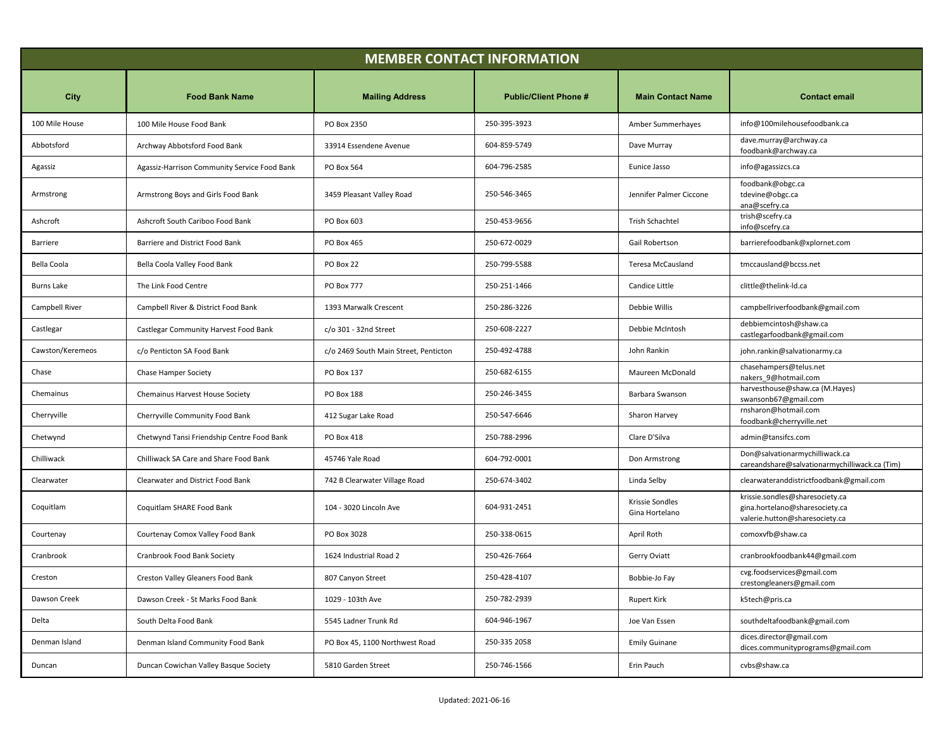| <b>MEMBER CONTACT INFORMATION</b> |                                              |                                       |                              |                                   |                                                                                                     |
|-----------------------------------|----------------------------------------------|---------------------------------------|------------------------------|-----------------------------------|-----------------------------------------------------------------------------------------------------|
| City                              | <b>Food Bank Name</b>                        | <b>Mailing Address</b>                | <b>Public/Client Phone #</b> | <b>Main Contact Name</b>          | <b>Contact email</b>                                                                                |
| 100 Mile House                    | 100 Mile House Food Bank                     | PO Box 2350                           | 250-395-3923                 | Amber Summerhayes                 | info@100milehousefoodbank.ca                                                                        |
| Abbotsford                        | Archway Abbotsford Food Bank                 | 33914 Essendene Avenue                | 604-859-5749                 | Dave Murray                       | dave.murray@archway.ca<br>foodbank@archway.ca                                                       |
| Agassiz                           | Agassiz-Harrison Community Service Food Bank | <b>PO Box 564</b>                     | 604-796-2585                 | Eunice Jasso                      | info@agassizcs.ca                                                                                   |
| Armstrong                         | Armstrong Boys and Girls Food Bank           | 3459 Pleasant Valley Road             | 250-546-3465                 | Jennifer Palmer Ciccone           | foodbank@obgc.ca<br>tdevine@obgc.ca<br>ana@scefry.ca                                                |
| Ashcroft                          | Ashcroft South Cariboo Food Bank             | PO Box 603                            | 250-453-9656                 | <b>Trish Schachtel</b>            | trish@scefry.ca<br>info@scefry.ca                                                                   |
| Barriere                          | Barriere and District Food Bank              | PO Box 465                            | 250-672-0029                 | Gail Robertson                    | barrierefoodbank@xplornet.com                                                                       |
| Bella Coola                       | Bella Coola Valley Food Bank                 | PO Box 22                             | 250-799-5588                 | Teresa McCausland                 | tmccausland@bccss.net                                                                               |
| <b>Burns Lake</b>                 | The Link Food Centre                         | <b>PO Box 777</b>                     | 250-251-1466                 | Candice Little                    | clittle@thelink-ld.ca                                                                               |
| Campbell River                    | Campbell River & District Food Bank          | 1393 Marwalk Crescent                 | 250-286-3226                 | Debbie Willis                     | campbellriverfoodbank@gmail.com                                                                     |
| Castlegar                         | Castlegar Community Harvest Food Bank        | c/o 301 - 32nd Street                 | 250-608-2227                 | Debbie McIntosh                   | debbiemcintosh@shaw.ca<br>castlegarfoodbank@gmail.com                                               |
| Cawston/Keremeos                  | c/o Penticton SA Food Bank                   | c/o 2469 South Main Street, Penticton | 250-492-4788                 | John Rankin                       | john.rankin@salvationarmy.ca                                                                        |
| Chase                             | Chase Hamper Society                         | PO Box 137                            | 250-682-6155                 | Maureen McDonald                  | chasehampers@telus.net<br>nakers_9@hotmail.com                                                      |
| Chemainus                         | Chemainus Harvest House Society              | PO Box 188                            | 250-246-3455                 | Barbara Swanson                   | harvesthouse@shaw.ca (M.Hayes)<br>swansonb67@gmail.com                                              |
| Cherryville                       | Cherryville Community Food Bank              | 412 Sugar Lake Road                   | 250-547-6646                 | Sharon Harvey                     | rnsharon@hotmail.com<br>foodbank@cherryville.net                                                    |
| Chetwynd                          | Chetwynd Tansi Friendship Centre Food Bank   | PO Box 418                            | 250-788-2996                 | Clare D'Silva                     | admin@tansifcs.com                                                                                  |
| Chilliwack                        | Chilliwack SA Care and Share Food Bank       | 45746 Yale Road                       | 604-792-0001                 | Don Armstrong                     | Don@salvationarmychilliwack.ca<br>careandshare@salvationarmychilliwack.ca (Tim)                     |
| Clearwater                        | Clearwater and District Food Bank            | 742 B Clearwater Village Road         | 250-674-3402                 | Linda Selby                       | clearwateranddistrictfoodbank@gmail.com                                                             |
| Coquitlam                         | Coquitlam SHARE Food Bank                    | 104 - 3020 Lincoln Ave                | 604-931-2451                 | Krissie Sondles<br>Gina Hortelano | krissie.sondles@sharesociety.ca<br>gina.hortelano@sharesociety.ca<br>valerie.hutton@sharesociety.ca |
| Courtenay                         | Courtenay Comox Valley Food Bank             | PO Box 3028                           | 250-338-0615                 | April Roth                        | comoxvfb@shaw.ca                                                                                    |
| Cranbrook                         | Cranbrook Food Bank Society                  | 1624 Industrial Road 2                | 250-426-7664                 | Gerry Oviatt                      | cranbrookfoodbank44@gmail.com                                                                       |
| Creston                           | Creston Valley Gleaners Food Bank            | 807 Canyon Street                     | 250-428-4107                 | Bobbie-Jo Fay                     | cvg.foodservices@gmail.com<br>crestongleaners@gmail.com                                             |
| Dawson Creek                      | Dawson Creek - St Marks Food Bank            | 1029 - 103th Ave                      | 250-782-2939                 | <b>Rupert Kirk</b>                | k5tech@pris.ca                                                                                      |
| Delta                             | South Delta Food Bank                        | 5545 Ladner Trunk Rd                  | 604-946-1967                 | Joe Van Essen                     | southdeltafoodbank@gmail.com                                                                        |
| Denman Island                     | Denman Island Community Food Bank            | PO Box 45, 1100 Northwest Road        | 250-335 2058                 | <b>Emily Guinane</b>              | dices.director@gmail.com<br>dices.communityprograms@gmail.com                                       |
| Duncan                            | Duncan Cowichan Valley Basque Society        | 5810 Garden Street                    | 250-746-1566                 | Erin Pauch                        | cvbs@shaw.ca                                                                                        |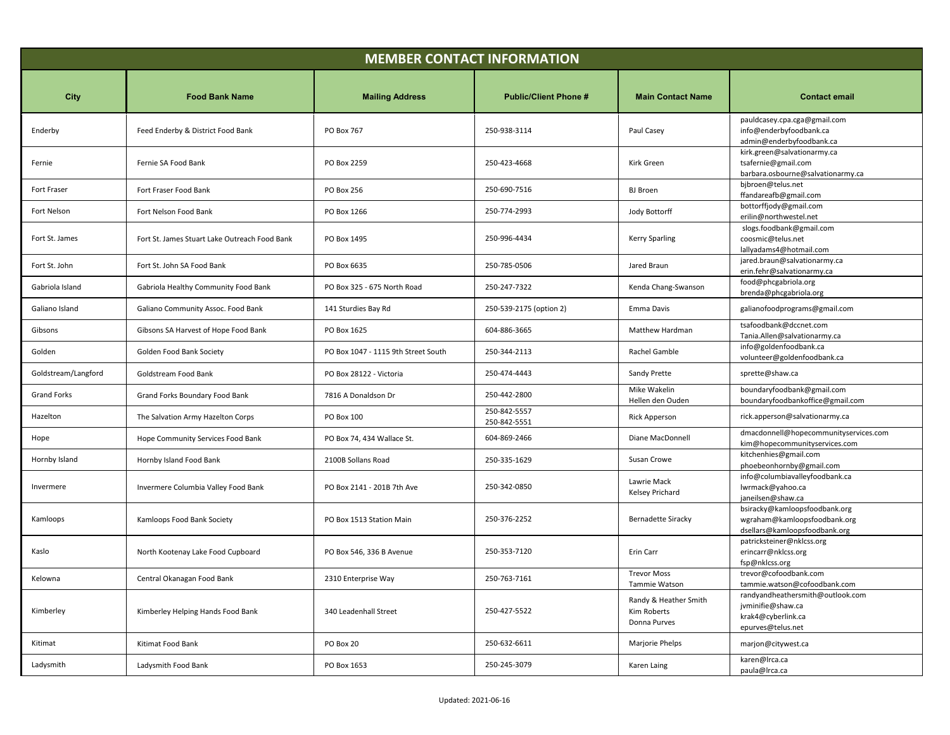| <b>MEMBER CONTACT INFORMATION</b> |                                               |                                     |                              |                                                      |                                                                                                  |
|-----------------------------------|-----------------------------------------------|-------------------------------------|------------------------------|------------------------------------------------------|--------------------------------------------------------------------------------------------------|
| City                              | <b>Food Bank Name</b>                         | <b>Mailing Address</b>              | <b>Public/Client Phone #</b> | <b>Main Contact Name</b>                             | <b>Contact email</b>                                                                             |
| Enderby                           | Feed Enderby & District Food Bank             | PO Box 767                          | 250-938-3114                 | Paul Casey                                           | pauldcasey.cpa.cga@gmail.com<br>info@enderbyfoodbank.ca<br>admin@enderbyfoodbank.ca              |
| Fernie                            | Fernie SA Food Bank                           | PO Box 2259                         | 250-423-4668                 | Kirk Green                                           | kirk.green@salvationarmy.ca<br>tsafernie@gmail.com<br>barbara.osbourne@salvationarmy.ca          |
| Fort Fraser                       | Fort Fraser Food Bank                         | PO Box 256                          | 250-690-7516                 | BJ Broen                                             | bjbroen@telus.net<br>ffandareafb@gmail.com                                                       |
| Fort Nelson                       | Fort Nelson Food Bank                         | PO Box 1266                         | 250-774-2993                 | Jody Bottorff                                        | bottorffjody@gmail.com<br>erilin@northwestel.net                                                 |
| Fort St. James                    | Fort St. James Stuart Lake Outreach Food Bank | PO Box 1495                         | 250-996-4434                 | Kerry Sparling                                       | slogs.foodbank@gmail.com<br>coosmic@telus.net<br>lallyadams4@hotmail.com                         |
| Fort St. John                     | Fort St. John SA Food Bank                    | PO Box 6635                         | 250-785-0506                 | Jared Braun                                          | jared.braun@salvationarmy.ca<br>erin.fehr@salvationarmy.ca                                       |
| Gabriola Island                   | Gabriola Healthy Community Food Bank          | PO Box 325 - 675 North Road         | 250-247-7322                 | Kenda Chang-Swanson                                  | food@phcgabriola.org<br>brenda@phcgabriola.org                                                   |
| Galiano Island                    | Galiano Community Assoc. Food Bank            | 141 Sturdies Bay Rd                 | 250-539-2175 (option 2)      | Emma Davis                                           | galianofoodprograms@gmail.com                                                                    |
| Gibsons                           | Gibsons SA Harvest of Hope Food Bank          | PO Box 1625                         | 604-886-3665                 | Matthew Hardman                                      | tsafoodbank@dccnet.com<br>Tania.Allen@salvationarmy.ca                                           |
| Golden                            | Golden Food Bank Society                      | PO Box 1047 - 1115 9th Street South | 250-344-2113                 | Rachel Gamble                                        | info@goldenfoodbank.ca<br>volunteer@goldenfoodbank.ca                                            |
| Goldstream/Langford               | Goldstream Food Bank                          | PO Box 28122 - Victoria             | 250-474-4443                 | Sandy Prette                                         | sprette@shaw.ca                                                                                  |
| Grand Forks                       | Grand Forks Boundary Food Bank                | 7816 A Donaldson Dr                 | 250-442-2800                 | Mike Wakelin<br>Hellen den Ouden                     | boundaryfoodbank@gmail.com<br>boundaryfoodbankoffice@gmail.com                                   |
| Hazelton                          | The Salvation Army Hazelton Corps             | PO Box 100                          | 250-842-5557<br>250-842-5551 | Rick Apperson                                        | rick.apperson@salvationarmy.ca                                                                   |
| Hope                              | Hope Community Services Food Bank             | PO Box 74, 434 Wallace St.          | 604-869-2466                 | Diane MacDonnell                                     | dmacdonnell@hopecommunityservices.com<br>kim@hopecommunityservices.com                           |
| Hornby Island                     | Hornby Island Food Bank                       | 2100B Sollans Road                  | 250-335-1629                 | Susan Crowe                                          | kitchenhies@gmail.com<br>phoebeonhornby@gmail.com                                                |
| Invermere                         | Invermere Columbia Valley Food Bank           | PO Box 2141 - 201B 7th Ave          | 250-342-0850                 | Lawrie Mack<br>Kelsey Prichard                       | info@columbiavalleyfoodbank.ca<br>lwrmack@yahoo.ca<br>janeilsen@shaw.ca                          |
| Kamloops                          | Kamloops Food Bank Society                    | PO Box 1513 Station Main            | 250-376-2252                 | <b>Bernadette Siracky</b>                            | bsiracky@kamloopsfoodbank.org<br>wgraham@kamloopsfoodbank.org<br>dsellars@kamloopsfoodbank.org   |
| Kaslo                             | North Kootenay Lake Food Cupboard             | PO Box 546, 336 B Avenue            | 250-353-7120                 | Erin Carr                                            | patricksteiner@nklcss.org<br>erincarr@nklcss.org<br>fsp@nklcss.org                               |
| Kelowna                           | Central Okanagan Food Bank                    | 2310 Enterprise Way                 | 250-763-7161                 | <b>Trevor Moss</b><br>Tammie Watson                  | trevor@cofoodbank.com<br>tammie.watson@cofoodbank.com                                            |
| Kimberley                         | Kimberley Helping Hands Food Bank             | 340 Leadenhall Street               | 250-427-5522                 | Randy & Heather Smith<br>Kim Roberts<br>Donna Purves | randyandheathersmith@outlook.com<br>jvminifie@shaw.ca<br>krak4@cyberlink.ca<br>epurves@telus.net |
| Kitimat                           | Kitimat Food Bank                             | PO Box 20                           | 250-632-6611                 | Marjorie Phelps                                      | marjon@citywest.ca                                                                               |
| Ladysmith                         | Ladysmith Food Bank                           | PO Box 1653                         | 250-245-3079                 | Karen Laing                                          | karen@Irca.ca<br>paula@Irca.ca                                                                   |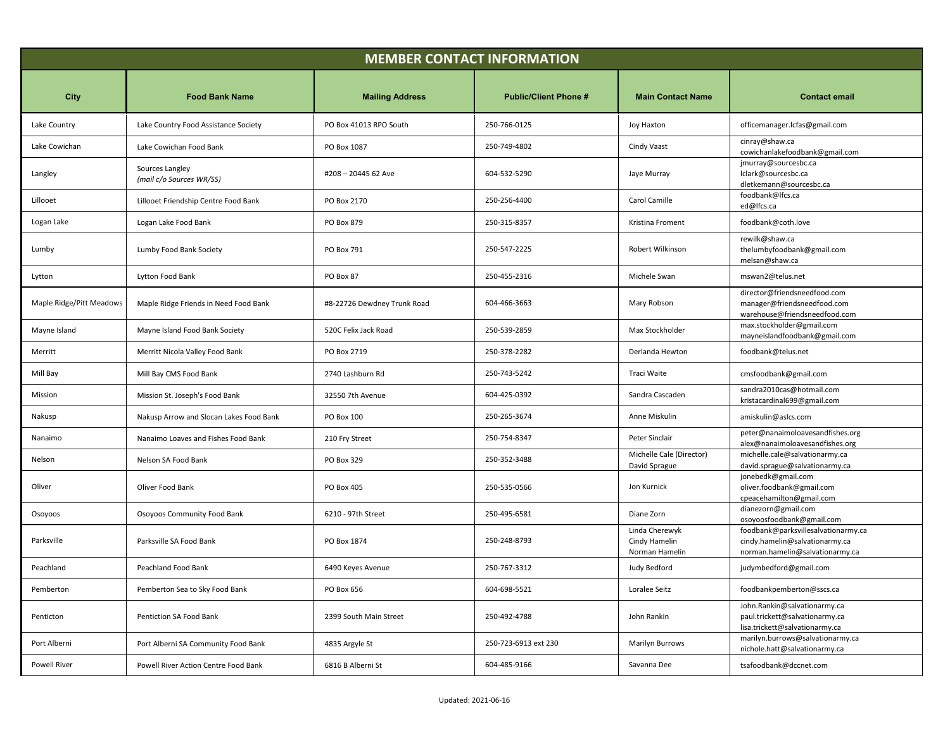| <b>MEMBER CONTACT INFORMATION</b> |                                             |                             |                              |                                                   |                                                                                                          |
|-----------------------------------|---------------------------------------------|-----------------------------|------------------------------|---------------------------------------------------|----------------------------------------------------------------------------------------------------------|
| City                              | <b>Food Bank Name</b>                       | <b>Mailing Address</b>      | <b>Public/Client Phone #</b> | <b>Main Contact Name</b>                          | <b>Contact email</b>                                                                                     |
| Lake Country                      | Lake Country Food Assistance Society        | PO Box 41013 RPO South      | 250-766-0125                 | Joy Haxton                                        | officemanager.lcfas@gmail.com                                                                            |
| Lake Cowichan                     | Lake Cowichan Food Bank                     | PO Box 1087                 | 250-749-4802                 | Cindy Vaast                                       | cinray@shaw.ca<br>cowichanlakefoodbank@gmail.com                                                         |
| Langley                           | Sources Langley<br>(mail c/o Sources WR/SS) | #208-20445 62 Ave           | 604-532-5290                 | Jaye Murray                                       | jmurray@sourcesbc.ca<br>lclark@sourcesbc.ca<br>dletkemann@sourcesbc.ca                                   |
| Lillooet                          | Lillooet Friendship Centre Food Bank        | PO Box 2170                 | 250-256-4400                 | Carol Camille                                     | foodbank@lfcs.ca<br>ed@lfcs.ca                                                                           |
| Logan Lake                        | Logan Lake Food Bank                        | PO Box 879                  | 250-315-8357                 | Kristina Froment                                  | foodbank@coth.love                                                                                       |
| Lumby                             | Lumby Food Bank Society                     | PO Box 791                  | 250-547-2225                 | Robert Wilkinson                                  | rewilk@shaw.ca<br>thelumbyfoodbank@gmail.com<br>melsan@shaw.ca                                           |
| Lytton                            | Lytton Food Bank                            | PO Box 87                   | 250-455-2316                 | Michele Swan                                      | mswan2@telus.net                                                                                         |
| Maple Ridge/Pitt Meadows          | Maple Ridge Friends in Need Food Bank       | #8-22726 Dewdney Trunk Road | 604-466-3663                 | Mary Robson                                       | director@friendsneedfood.com<br>manager@friendsneedfood.com<br>warehouse@friendsneedfood.com             |
| Mayne Island                      | Mayne Island Food Bank Society              | 520C Felix Jack Road        | 250-539-2859                 | Max Stockholder                                   | max.stockholder@gmail.com<br>mayneislandfoodbank@gmail.com                                               |
| Merritt                           | Merritt Nicola Valley Food Bank             | PO Box 2719                 | 250-378-2282                 | Derlanda Hewton                                   | foodbank@telus.net                                                                                       |
| Mill Bay                          | Mill Bay CMS Food Bank                      | 2740 Lashburn Rd            | 250-743-5242                 | Traci Waite                                       | cmsfoodbank@gmail.com                                                                                    |
| Mission                           | Mission St. Joseph's Food Bank              | 32550 7th Avenue            | 604-425-0392                 | Sandra Cascaden                                   | sandra2010cas@hotmail.com<br>kristacardinal699@gmail.com                                                 |
| Nakusp                            | Nakusp Arrow and Slocan Lakes Food Bank     | PO Box 100                  | 250-265-3674                 | Anne Miskulin                                     | amiskulin@aslcs.com                                                                                      |
| Nanaimo                           | Nanaimo Loaves and Fishes Food Bank         | 210 Fry Street              | 250-754-8347                 | Peter Sinclair                                    | peter@nanaimoloavesandfishes.org<br>alex@nanaimoloavesandfishes.org                                      |
| Nelson                            | Nelson SA Food Bank                         | PO Box 329                  | 250-352-3488                 | Michelle Cale (Director)<br>David Sprague         | michelle.cale@salvationarmy.ca<br>david.sprague@salvationarmy.ca                                         |
| Oliver                            | Oliver Food Bank                            | PO Box 405                  | 250-535-0566                 | Jon Kurnick                                       | jonebedk@gmail.com<br>oliver.foodbank@gmail.com<br>cpeacehamilton@gmail.com                              |
| Osoyoos                           | Osoyoos Community Food Bank                 | 6210 - 97th Street          | 250-495-6581                 | Diane Zorn                                        | dianezorn@gmail.com<br>osoyoosfoodbank@gmail.com                                                         |
| Parksville                        | Parksville SA Food Bank                     | PO Box 1874                 | 250-248-8793                 | Linda Cherewyk<br>Cindy Hamelin<br>Norman Hamelin | foodbank@parksvillesalvationarmy.ca<br>cindy.hamelin@salvationarmy.ca<br>norman.hamelin@salvationarmy.ca |
| Peachland                         | Peachland Food Bank                         | 6490 Keyes Avenue           | 250-767-3312                 | Judy Bedford                                      | judymbedford@gmail.com                                                                                   |
| Pemberton                         | Pemberton Sea to Sky Food Bank              | PO Box 656                  | 604-698-5521                 | Loralee Seitz                                     | foodbankpemberton@sscs.ca                                                                                |
| Penticton                         | Pentiction SA Food Bank                     | 2399 South Main Street      | 250-492-4788                 | John Rankin                                       | John.Rankin@salvationarmy.ca<br>paul.trickett@salvationarmy.ca<br>lisa.trickett@salvationarmy.ca         |
| Port Alberni                      | Port Alberni SA Community Food Bank         | 4835 Argyle St              | 250-723-6913 ext 230         | <b>Marilyn Burrows</b>                            | marilyn.burrows@salvationarmy.ca<br>nichole.hatt@salvationarmy.ca                                        |
| Powell River                      | Powell River Action Centre Food Bank        | 6816 B Alberni St           | 604-485-9166                 | Savanna Dee                                       | tsafoodbank@dccnet.com                                                                                   |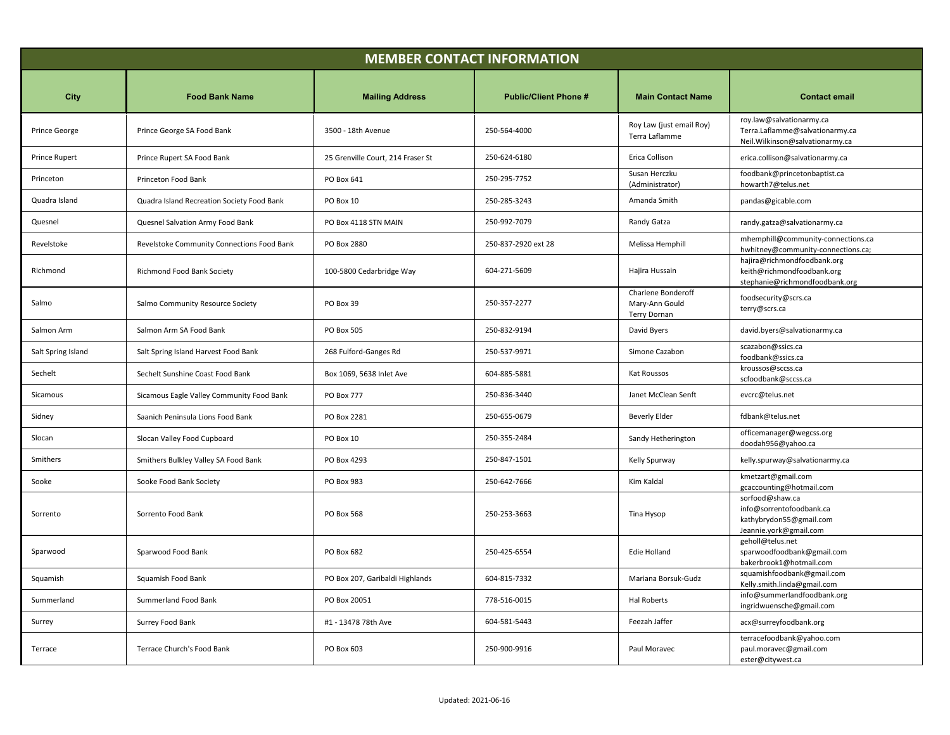| <b>MEMBER CONTACT INFORMATION</b> |                                            |                                   |                              |                                                             |                                                                                                  |
|-----------------------------------|--------------------------------------------|-----------------------------------|------------------------------|-------------------------------------------------------------|--------------------------------------------------------------------------------------------------|
| City                              | <b>Food Bank Name</b>                      | <b>Mailing Address</b>            | <b>Public/Client Phone #</b> | <b>Main Contact Name</b>                                    | <b>Contact email</b>                                                                             |
| Prince George                     | Prince George SA Food Bank                 | 3500 - 18th Avenue                | 250-564-4000                 | Roy Law (just email Roy)<br>Terra Laflamme                  | roy.law@salvationarmy.ca<br>Terra.Laflamme@salvationarmy.ca<br>Neil.Wilkinson@salvationarmy.ca   |
| Prince Rupert                     | Prince Rupert SA Food Bank                 | 25 Grenville Court, 214 Fraser St | 250-624-6180                 | Erica Collison                                              | erica.collison@salvationarmy.ca                                                                  |
| Princeton                         | Princeton Food Bank                        | PO Box 641                        | 250-295-7752                 | Susan Herczku<br>(Administrator)                            | foodbank@princetonbaptist.ca<br>howarth7@telus.net                                               |
| Quadra Island                     | Quadra Island Recreation Society Food Bank | PO Box 10                         | 250-285-3243                 | Amanda Smith                                                | pandas@gicable.com                                                                               |
| Quesnel                           | Quesnel Salvation Army Food Bank           | PO Box 4118 STN MAIN              | 250-992-7079                 | Randy Gatza                                                 | randy.gatza@salvationarmy.ca                                                                     |
| Revelstoke                        | Revelstoke Community Connections Food Bank | PO Box 2880                       | 250-837-2920 ext 28          | Melissa Hemphill                                            | mhemphill@community-connections.ca<br>hwhitney@community-connections.ca;                         |
| Richmond                          | Richmond Food Bank Society                 | 100-5800 Cedarbridge Way          | 604-271-5609                 | Hajira Hussain                                              | hajira@richmondfoodbank.org<br>keith@richmondfoodbank.org<br>stephanie@richmondfoodbank.org      |
| Salmo                             | Salmo Community Resource Society           | PO Box 39                         | 250-357-2277                 | Charlene Bonderoff<br>Mary-Ann Gould<br><b>Terry Dornan</b> | foodsecurity@scrs.ca<br>terry@scrs.ca                                                            |
| Salmon Arm                        | Salmon Arm SA Food Bank                    | PO Box 505                        | 250-832-9194                 | David Byers                                                 | david.byers@salvationarmy.ca                                                                     |
| Salt Spring Island                | Salt Spring Island Harvest Food Bank       | 268 Fulford-Ganges Rd             | 250-537-9971                 | Simone Cazabon                                              | scazabon@ssics.ca<br>foodbank@ssics.ca                                                           |
| Sechelt                           | Sechelt Sunshine Coast Food Bank           | Box 1069, 5638 Inlet Ave          | 604-885-5881                 | Kat Roussos                                                 | kroussos@sccss.ca<br>scfoodbank@sccss.ca                                                         |
| Sicamous                          | Sicamous Eagle Valley Community Food Bank  | <b>PO Box 777</b>                 | 250-836-3440                 | Janet McClean Senft                                         | evcrc@telus.net                                                                                  |
| Sidney                            | Saanich Peninsula Lions Food Bank          | PO Box 2281                       | 250-655-0679                 | <b>Beverly Elder</b>                                        | fdbank@telus.net                                                                                 |
| Slocan                            | Slocan Valley Food Cupboard                | PO Box 10                         | 250-355-2484                 | Sandy Hetherington                                          | officemanager@wegcss.org<br>doodah956@yahoo.ca                                                   |
| Smithers                          | Smithers Bulkley Valley SA Food Bank       | PO Box 4293                       | 250-847-1501                 | Kelly Spurway                                               | kelly.spurway@salvationarmy.ca                                                                   |
| Sooke                             | Sooke Food Bank Society                    | PO Box 983                        | 250-642-7666                 | Kim Kaldal                                                  | kmetzart@gmail.com<br>gcaccounting@hotmail.com                                                   |
| Sorrento                          | Sorrento Food Bank                         | PO Box 568                        | 250-253-3663                 | Tina Hysop                                                  | sorfood@shaw.ca<br>info@sorrentofoodbank.ca<br>kathybrydon55@gmail.com<br>Jeannie.york@gmail.com |
| Sparwood                          | Sparwood Food Bank                         | PO Box 682                        | 250-425-6554                 | Edie Holland                                                | geholl@telus.net<br>sparwoodfoodbank@gmail.com<br>bakerbrook1@hotmail.com                        |
| Squamish                          | Squamish Food Bank                         | PO Box 207, Garibaldi Highlands   | 604-815-7332                 | Mariana Borsuk-Gudz                                         | squamishfoodbank@gmail.com<br>Kelly.smith.linda@gmail.com                                        |
| Summerland                        | Summerland Food Bank                       | PO Box 20051                      | 778-516-0015                 | Hal Roberts                                                 | info@summerlandfoodbank.org<br>ingridwuensche@gmail.com                                          |
| Surrey                            | Surrey Food Bank                           | #1 - 13478 78th Ave               | 604-581-5443                 | Feezah Jaffer                                               | acx@surreyfoodbank.org                                                                           |
| Terrace                           | Terrace Church's Food Bank                 | PO Box 603                        | 250-900-9916                 | Paul Moravec                                                | terracefoodbank@yahoo.com<br>paul.moravec@gmail.com<br>ester@citywest.ca                         |